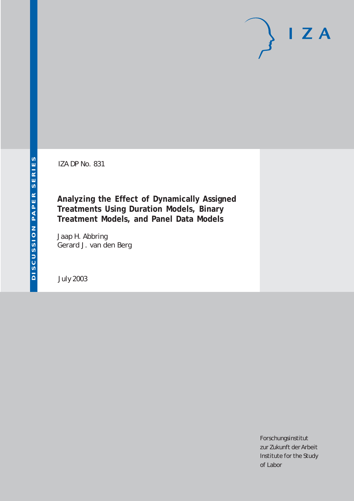IZA DP No. 831

**Analyzing the Effect of Dynamically Assigned Treatments Using Duration Models, Binary Treatment Models, and Panel Data Models**

Jaap H. Abbring Gerard J. van den Berg

July 2003

Forschungsinstitut zur Zukunft der Arbeit Institute for the Study of Labor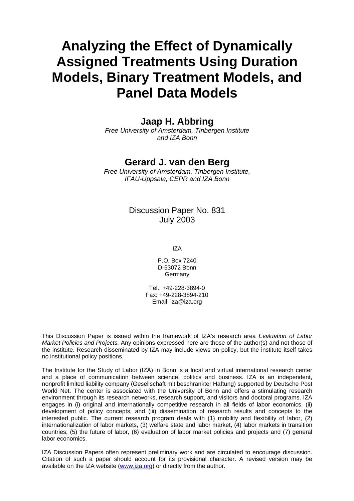# **Analyzing the Effect of Dynamically Assigned Treatments Using Duration Models, Binary Treatment Models, and Panel Data Models**

## **Jaap H. Abbring**

*Free University of Amsterdam, Tinbergen Institute and IZA Bonn*

### **Gerard J. van den Berg**

*Free University of Amsterdam, Tinbergen Institute, IFAU-Uppsala, CEPR and IZA Bonn*

### Discussion Paper No. 831 July 2003

IZA

P.O. Box 7240 D-53072 Bonn Germany

Tel.: +49-228-3894-0 Fax: +49-228-3894-210 Email: [iza@iza.org](mailto:iza@iza.org)

This Discussion Paper is issued within the framework of IZA's research area *Evaluation of Labor Market Policies and Projects.* Any opinions expressed here are those of the author(s) and not those of the institute. Research disseminated by IZA may include views on policy, but the institute itself takes no institutional policy positions.

The Institute for the Study of Labor (IZA) in Bonn is a local and virtual international research center and a place of communication between science, politics and business. IZA is an independent, nonprofit limited liability company (Gesellschaft mit beschränkter Haftung) supported by Deutsche Post World Net. The center is associated with the University of Bonn and offers a stimulating research environment through its research networks, research support, and visitors and doctoral programs. IZA engages in (i) original and internationally competitive research in all fields of labor economics, (ii) development of policy concepts, and (iii) dissemination of research results and concepts to the interested public. The current research program deals with (1) mobility and flexibility of labor, (2) internationalization of labor markets, (3) welfare state and labor market, (4) labor markets in transition countries, (5) the future of labor, (6) evaluation of labor market policies and projects and (7) general labor economics.

IZA Discussion Papers often represent preliminary work and are circulated to encourage discussion. Citation of such a paper should account for its provisional character. A revised version may be available on the IZA website ([www.iza.org](http://www.iza.org/)) or directly from the author.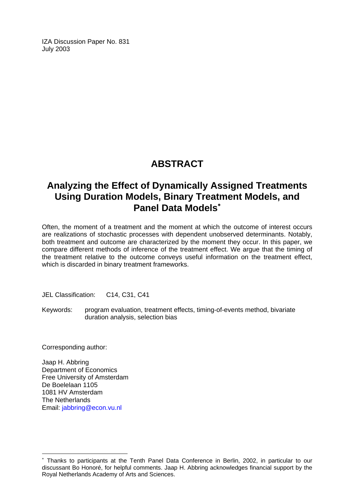IZA Discussion Paper No. 831 July 2003

## **ABSTRACT**

## **Analyzing the Effect of Dynamically Assigned Treatments Using Duration Models, Binary Treatment Models, and Panel Data Models**[∗](#page-2-0)

Often, the moment of a treatment and the moment at which the outcome of interest occurs are realizations of stochastic processes with dependent unobserved determinants. Notably, both treatment and outcome are characterized by the moment they occur. In this paper, we compare different methods of inference of the treatment effect. We argue that the timing of the treatment relative to the outcome conveys useful information on the treatment effect, which is discarded in binary treatment frameworks.

JEL Classification: C14, C31, C41

Keywords: program evaluation, treatment effects, timing-of-events method, bivariate duration analysis, selection bias

Corresponding author:

 $\overline{a}$ 

Jaap H. Abbring Department of Economics Free University of Amsterdam De Boelelaan 1105 1081 HV Amsterdam The Netherlands Email: [jabbring@econ.vu.nl](mailto:jabbring@econ.vu.nl)

<span id="page-2-0"></span>Thanks to participants at the Tenth Panel Data Conference in Berlin, 2002, in particular to our discussant Bo Honoré, for helpful comments. Jaap H. Abbring acknowledges financial support by the Royal Netherlands Academy of Arts and Sciences.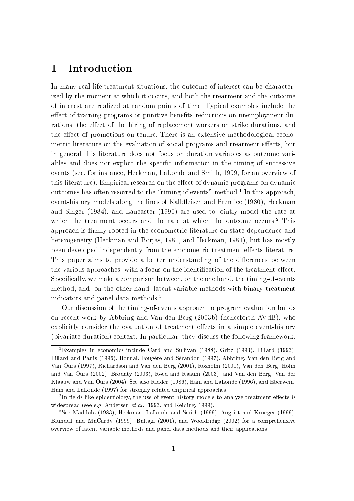#### Introduction  $\mathbf{1}$

In many real-life treatment situations, the outcome of interest can be characterized by the moment at which it occurs, and both the treatment and the outcome of interest are realized at random points of time. Typical examples include the effect of training programs or punitive benefits reductions on unemployment durations, the effect of the hiring of replacement workers on strike durations, and the effect of promotions on tenure. There is an extensive methodological econometric literature on the evaluation of social programs and treatment effects, but in general this literature does not focus on duration variables as outcome variables and does not exploit the specific information in the timing of successive events (see, for instance, Heckman, LaLonde and Smith, 1999, for an overview of this literature). Empirical research on the effect of dynamic programs on dynamic outcomes has often resorted to the "timing of events" method.<sup>1</sup> In this approach, event-history models along the lines of Kalbfleisch and Prentice (1980), Heckman and Singer (1984), and Lancaster (1990) are used to jointly model the rate at which the treatment occurs and the rate at which the outcome occurs.<sup>2</sup> This approach is firmly rooted in the econometric literature on state dependence and heterogeneity (Heckman and Borjas, 1980, and Heckman, 1981), but has mostly been developed independently from the econometric treatment-effects literature. This paper aims to provide a better understanding of the differences between the various approaches, with a focus on the identification of the treatment effect. Specifically, we make a comparison between, on the one hand, the timing-of-events method, and, on the other hand, latent variable methods with binary treatment indicators and panel data methods.<sup>3</sup>

Our discussion of the timing-of-events approach to program evaluation builds on recent work by Abbring and Van den Berg (2003b) (henceforth AVdB), who explicitly consider the evaluation of treatment effects in a simple event-history (bivariate duration) context. In particular, they discuss the following framework.

<sup>&</sup>lt;sup>1</sup>Examples in economics include Card and Sullivan (1988), Gritz (1993), Lillard (1993), Lillard and Panis (1996), Bonnal, Fougère and Sérandon (1997), Abbring, Van den Berg and Van Ours (1997), Richardson and Van den Berg (2001), Rosholm (2001), Van den Berg, Holm and Van Ours (2002), Brodaty (2003), Røed and Raaum (2003), and Van den Berg, Van der Klaauw and Van Ours (2004). See also Ridder (1986), Ham and LaLonde (1996), and Eberwein, Ham and LaLonde (1997) for strongly related empirical approaches.

<sup>&</sup>lt;sup>2</sup>In fields like epidemiology, the use of event-history models to analyze treatment effects is widespread (see e.g. Andersen et al., 1993, and Keiding, 1999).

<sup>&</sup>lt;sup>3</sup>See Maddala (1983), Heckman, LaLonde and Smith (1999), Angrist and Krueger (1999), Blundell and MaCurdy (1999), Baltagi (2001), and Wooldridge (2002) for a comprehensive overview of latent variable methods and panel data methods and their applications.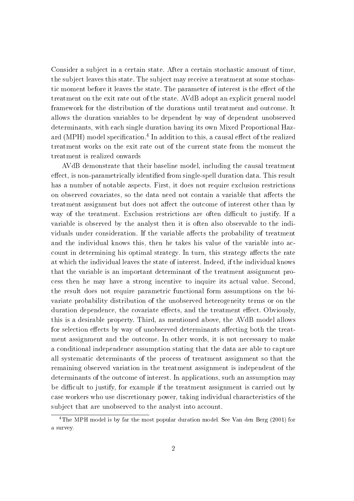Consider a subject in a certain state. After a certain stochastic amount of time, the subject leaves this state. The subject may receive a treatment at some stochastic moment before it leaves the state. The parameter of interest is the effect of the treatment on the exit rate out of the state. AVdB adopt an explicit general model framework for the distribution of the durations until treatment and outcome. It allows the duration variables to be dependent by way of dependent unobserved determinants, with each single duration having its own Mixed Proportional Hazard (MPH) model specification.<sup>4</sup> In addition to this, a causal effect of the realized treatment works on the exit rate out of the current state from the moment the treatment is realized onwards

AVdB demonstrate that their baseline model, including the causal treatment effect, is non-parametrically identified from single-spell duration data. This result has a number of notable aspects. First, it does not require exclusion restrictions on observed covariates, so the data need not contain a variable that affects the treatment assignment but does not affect the outcome of interest other than by way of the treatment. Exclusion restrictions are often difficult to justify. If a variable is observed by the analyst then it is often also observable to the individuals under consideration. If the variable affects the probability of treatment and the individual knows this, then he takes his value of the variable into account in determining his optimal strategy. In turn, this strategy affects the rate at which the individual leaves the state of interest. Indeed, if the individual knows that the variable is an important determinant of the treatment assignment process then he may have a strong incentive to inquire its actual value. Second, the result does not require parametric functional form assumptions on the bivariate probability distribution of the unobserved heterogeneity terms or on the duration dependence, the covariate effects, and the treatment effect. Obviously, this is a desirable property. Third, as mentioned above, the AVdB model allows for selection effects by way of unobserved determinants affecting both the treatment assignment and the outcome. In other words, it is not necessary to make a conditional independence assumption stating that the data are able to capture all systematic determinants of the process of treatment assignment so that the remaining observed variation in the treatment assignment is independent of the determinants of the outcome of interest. In applications, such an assumption may be difficult to justify, for example if the treatment assignment is carried out by case workers who use discretionary power, taking individual characteristics of the subject that are unobserved to the analyst into account.

<sup>&</sup>lt;sup>4</sup>The MPH model is by far the most popular duration model. See Van den Berg (2001) for a survey.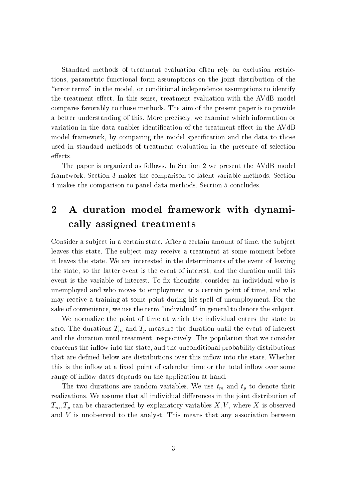Standard methods of treatment evaluation often rely on exclusion restrictions, parametric functional form assumptions on the joint distribution of the "error terms" in the model, or conditional independence assumptions to identify the treatment effect. In this sense, treatment evaluation with the AVdB model compares favorably to those methods. The aim of the present paper is to provide a better understanding of this. More precisely, we examine which information or variation in the data enables identification of the treatment effect in the AVdB model framework, by comparing the model specification and the data to those used in standard methods of treatment evaluation in the presence of selection effects.

The paper is organized as follows. In Section 2 we present the AVdB model framework. Section 3 makes the comparison to latent variable methods. Section 4 makes the comparison to panel data methods. Section 5 concludes.

### A duration model framework with dynami- $\overline{2}$ cally assigned treatments

Consider a subject in a certain state. After a certain amount of time, the subject leaves this state. The subject may receive a treatment at some moment before it leaves the state. We are interested in the determinants of the event of leaving the state, so the latter event is the event of interest, and the duration until this event is the variable of interest. To fix thoughts, consider an individual who is unemployed and who moves to employment at a certain point of time, and who may receive a training at some point during his spell of unemployment. For the sake of convenience, we use the term "individual" in general to denote the subject.

We normalize the point of time at which the individual enters the state to zero. The durations  $T_m$  and  $T_p$  measure the duration until the event of interest and the duration until treatment, respectively. The population that we consider concerns the inflow into the state, and the unconditional probability distributions that are defined below are distributions over this inflow into the state. Whether this is the inflow at a fixed point of calendar time or the total inflow over some range of inflow dates depends on the application at hand.

The two durations are random variables. We use  $t_m$  and  $t_p$  to denote their realizations. We assume that all individual differences in the joint distribution of  $T_m, T_p$  can be characterized by explanatory variables X, V, where X is observed and  $V$  is unobserved to the analyst. This means that any association between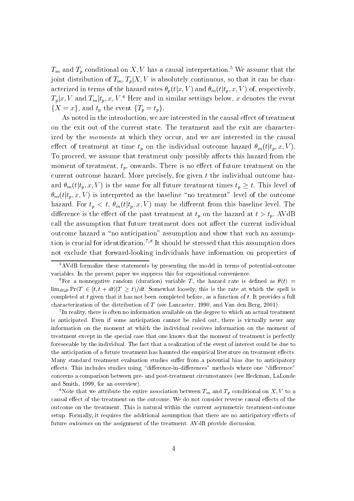$T_m$  and  $T_p$  conditional on X, V has a causal interpretation.<sup>5</sup> We assume that the joint distribution of  $T_m, T_p|X, V$  is absolutely continuous, so that it can be characterized in terms of the hazard rates  $\theta_p(t|x, V)$  and  $\theta_m(t|t_p, x, V)$  of, respectively,  $T_p|x, V$  and  $T_m|t_p, x, V$ .<sup>6</sup> Here and in similar settings below, x denotes the event  $\{X = x\}$ , and  $t_p$  the event  $\{T_p = t_p\}$ .

As noted in the introduction, we are interested in the causal effect of treatment on the exit out of the current state. The treatment and the exit are characterized by the *moments* at which they occur, and we are interested in the causal effect of treatment at time  $t_p$  on the individual outcome hazard  $\theta_m(t|t_p, x, V)$ . To proceed, we assume that treatment only possibly affects this hazard from the moment of treatment,  $t_n$ , onwards. There is no effect of future treatment on the current outcome hazard. More precisely, for given  $t$  the individual outcome hazard  $\theta_m(t|t_p, x, V)$  is the same for all future treatment times  $t_p \geq t$ . This level of  $\theta_m(t|t_p, x, V)$  is interpreted as the baseline "no treatment" level of the outcome hazard. For  $t_p < t$ ,  $\theta_m(t|t_p, x, V)$  may be different from this baseline level. The difference is the effect of the past treatment at  $t_p$  on the hazard at  $t > t_p$ . AVdB call the assumption that future treatment does not affect the current individual outcome hazard a "no anticipation" assumption and show that such an assumption is crucial for identification.<sup>7,8</sup> It should be stressed that this assumption does not exclude that forward-looking individuals have information on properties of

<sup>7</sup>In reality, there is often no information available on the degree to which an actual treatment is anticipated. Even if some anticipation cannot be ruled out, there is virtually never any information on the moment at which the individual receives information on the moment of treatment except in the special case that one knows that the moment of treatment is perfectly foreseeable by the individual. The fact that a realization of the event of interest could be due to the anticipation of a future treatment has haunted the empirical literature on treatment effects. Many standard treatment evaluation studies suffer from a potential bias due to anticipatory effects. This includes studies using "difference-in-differences" methods where one "difference" concerns a comparison between pre- and post-treatment circumstances (see Heckman, LaLonde and Smith, 1999, for an overview).

<sup>8</sup>Note that we attribute the entire association between  $T_m$  and  $T_p$  conditional on X, V to a causal effect of the treatment on the outcome. We do not consider reverse causal effects of the outcome on the treatment. This is natural within the current asymmetric treatment-outcome setup. Formally, it requires the additional assumption that there are no anticipatory effects of future *outcomes* on the assignment of the treatment. AVdB provide discussion.

 ${}^{5}$ AVdB formalize these statements by presenting the model in terms of potential-outcome variables. In the present paper we suppress this for expositional convenience.

<sup>&</sup>lt;sup>6</sup>For a nonnegative random (duration) variable T, the hazard rate is defined as  $\theta(t)$  =  $\lim_{d\downarrow 0} \Pr(T \in [t, t+dt)]$   $T \ge t$ /*dt*. Somewhat loosely, this is the rate at which the spell is completed at t given that it has not been completed before, as a function of t. It provides a full characterization of the distribution of T (see Lancaster, 1990, and Van den Berg, 2001).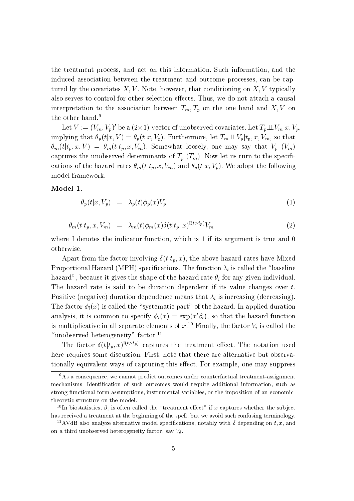the treatment process, and act on this information. Such information, and the induced association between the treatment and outcome processes, can be captured by the covariates  $X, V$ . Note, however, that conditioning on  $X, V$  typically also serves to control for other selection effects. Thus, we do not attach a causal interpretation to the association between  $T_m, T_p$  on the one hand and X, V on the other hand.<sup>9</sup>

Let  $V := (V_m, V_p)'$  be a  $(2 \times 1)$ -vector of unobserved covariates. Let  $T_p \perp \!\!\!\perp V_m | x, V_p$ , implying that  $\theta_p(t|x,V) = \theta_p(t|x,V_p)$ . Furthermore, let  $T_m \perp \!\!\!\perp V_p | t_p, x, V_m$ , so that  $\theta_m(t|t_p, x, V) = \theta_m(t|t_p, x, V_m)$ . Somewhat loosely, one may say that  $V_p(V_m)$ captures the unobserved determinants of  $T_p(T_m)$ . Now let us turn to the specifications of the hazard rates  $\theta_m(t|t_p, x, V_m)$  and  $\theta_p(t|x, V_p)$ . We adopt the following model framework,

Model 1.

$$
\theta_p(t|x, V_p) = \lambda_p(t)\phi_p(x)V_p \tag{1}
$$

$$
\theta_m(t|t_p, x, V_m) = \lambda_m(t)\phi_m(x)\delta(t|t_p, x)^{I(t>t_p)}V_m \tag{2}
$$

where I denotes the indicator function, which is 1 if its argument is true and 0 otherwise.

Apart from the factor involving  $\delta(t|t_p, x)$ , the above hazard rates have Mixed Proportional Hazard (MPH) specifications. The function  $\lambda_i$  is called the "baseline" hazard", because it gives the shape of the hazard rate  $\theta_i$  for any given individual. The hazard rate is said to be duration dependent if its value changes over  $t$ . Positive (negative) duration dependence means that  $\lambda_i$  is increasing (decreasing). The factor  $\phi_i(x)$  is called the "systematic part" of the hazard. In applied duration analysis, it is common to specify  $\phi_i(x) = \exp(x^i \beta_i)$ , so that the hazard function is multiplicative in all separate elements of  $x<sup>10</sup>$  Finally, the factor  $V<sub>i</sub>$  is called the "unobserved heterogeneity" factor.<sup>11</sup>

The factor  $\delta(t|t_p, x)^{I(t>t_p)}$  captures the treatment effect. The notation used here requires some discussion. First, note that there are alternative but observationally equivalent ways of capturing this effect. For example, one may suppress

<sup>&</sup>lt;sup>9</sup>As a consequence, we cannot predict outcomes under counterfactual treatment-assignment mechanisms. Identification of such outcomes would require additional information, such as strong functional-form assumptions, instrumental variables, or the imposition of an economictheoretic structure on the model.

<sup>&</sup>lt;sup>10</sup>In biostatistics,  $\beta_i$  is often called the "treatment effect" if x captures whether the subject has received a treatment at the beginning of the spell, but we avoid such confusing terminology.

<sup>&</sup>lt;sup>11</sup>AVdB also analyze alternative model specifications, notably with  $\delta$  depending on t, x, and on a third unobserved heterogeneity factor, say  $V_{\delta}$ .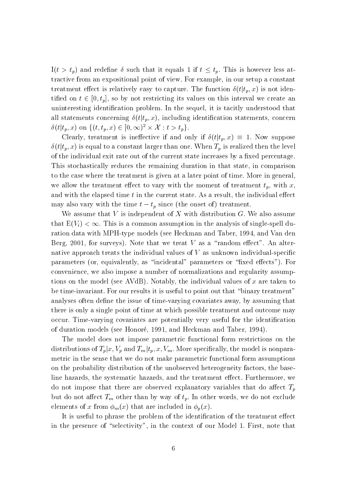$I(t > t_p)$  and redefine  $\delta$  such that it equals 1 if  $t \leq t_p$ . This is however less attractive from an expositional point of view. For example, in our setup a constant treatment effect is relatively easy to capture. The function  $\delta(t|t_n, x)$  is not identified on  $t \in [0, t_p]$ , so by not restricting its values on this interval we create an uninteresting identification problem. In the sequel, it is tacitly understood that all statements concerning  $\delta(t|t_p, x)$ , including identification statements, concern  $\delta(t|t_p, x)$  on  $\{(t, t_p, x) \in [0, \infty)^2 \times \mathcal{X} : t > t_p\}.$ 

Clearly, treatment is ineffective if and only if  $\delta(t|t_p, x) \equiv 1$ . Now suppose  $\delta(t|t_p, x)$  is equal to a constant larger than one. When  $T_p$  is realized then the level of the individual exit rate out of the current state increases by a fixed percentage. This stochastically reduces the remaining duration in that state, in comparison to the case where the treatment is given at a later point of time. More in general, we allow the treatment effect to vary with the moment of treatment  $t_p$ , with x, and with the elapsed time  $t$  in the current state. As a result, the individual effect may also vary with the time  $t - t_n$  since (the onset of) treatment.

We assume that  $V$  is independent of  $X$  with distribution  $G$ . We also assume that  $E(V_i) < \infty$ . This is a common assumption in the analysis of single-spell duration data with MPH-type models (see Heckman and Taber, 1994, and Van den Berg, 2001, for surveys). Note that we treat V as a "random effect". An alternative approach treats the individual values of  $V$  as unknown individual-specific parameters (or, equivalently, as "incidental" parameters or "fixed effects"). For convenience, we also impose a number of normalizations and regularity assumptions on the model (see AVdB). Notably, the individual values of x are taken to be time-invariant. For our results it is useful to point out that "binary treatment" analyses often define the issue of time-varying covariates away, by assuming that there is only a single point of time at which possible treatment and outcome may occur. Time-varying covariates are potentially very useful for the identification of duration models (see Honoré, 1991, and Heckman and Taber, 1994).

The model does not impose parametric functional form restrictions on the distributions of  $T_p|x, V_p$  and  $T_m|t_p, x, V_m$ . More specifically, the model is nonparametric in the sense that we do not make parametric functional form assumptions on the probability distribution of the unobserved heterogeneity factors, the baseline hazards, the systematic hazards, and the treatment effect. Furthermore, we do not impose that there are observed explanatory variables that do affect  $T_p$ but do not affect  $T_m$  other than by way of  $t_p$ . In other words, we do not exclude elements of x from  $\phi_m(x)$  that are included in  $\phi_p(x)$ .

It is useful to phrase the problem of the identification of the treatment effect in the presence of "selectivity", in the context of our Model 1. First, note that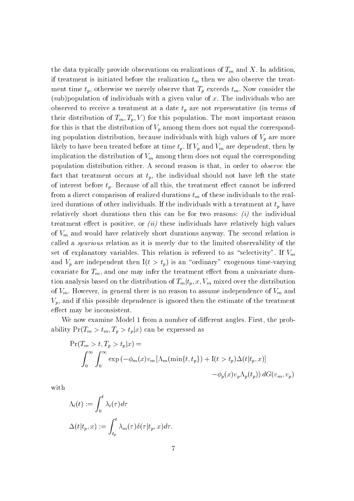the data typically provide observations on realizations of  $T_m$  and X. In addition, if treatment is initiated before the realization  $t_m$  then we also observe the treatment time  $t_p$ , otherwise we merely observe that  $T_p$  exceeds  $t_m$ . Now consider the (sub)population of individuals with a given value of  $x$ . The individuals who are observed to receive a treatment at a date  $t_p$  are not representative (in terms of their distribution of  $T_m, T_p, V$  for this population. The most important reason for this is that the distribution of  $V_p$  among them does not equal the corresponding population distribution, because individuals with high values of  $V_p$  are more likely to have been treated before at time  $t_p$ . If  $V_p$  and  $V_m$  are dependent, then by implication the distribution of  $V_m$  among them does not equal the corresponding population distribution either. A second reason is that, in order to *observe* the fact that treatment occurs at  $t_p$ , the individual should not have left the state of interest before  $t_p$ . Because of all this, the treatment effect cannot be inferred from a direct comparison of realized durations  $t_m$  of these individuals to the realized durations of other individuals. If the individuals with a treatment at  $t_p$  have relatively short durations then this can be for two reasons:  $(i)$  the individual treatment effect is positive, or  $(ii)$  these individuals have relatively high values of  $V_m$  and would have relatively short durations anyway. The second relation is called a *spurious* relation as it is merely due to the limited observability of the set of explanatory variables. This relation is referred to as "selectivity". If  $V_m$ and  $V_p$  are independent then  $I(t > t_p)$  is an "ordinary" exogenous time-varying covariate for  $T_m$ , and one may infer the treatment effect from a univariate duration analysis based on the distribution of  $T_m|t_p, x, V_m$  mixed over the distribution of  $V_m$ . However, in general there is no reason to assume independence of  $V_m$  and  $V_p$ , and if this possible dependence is ignored then the estimate of the treatment effect may be inconsistent.

We now examine Model 1 from a number of different angles. First, the probability  $Pr(T_m > t_m, T_p > t_p|x)$  can be expressed as

$$
Pr(T_m > t, T_p > t_p | x) =
$$
  

$$
\int_0^\infty \int_0^\infty \exp(-\phi_m(x)v_m[\Lambda_m(\min\{t, t_p\}) + I(t > t_p)\Delta(t|t_p, x)) -\phi_p(x)v_p\Lambda_p(t_p)) dG(v_m, v_p)
$$

with

$$
\Lambda_i(t) := \int_0^t \lambda_i(\tau) d\tau
$$
  

$$
\Delta(t|t_p, x) := \int_{t_p}^t \lambda_m(\tau) \delta(\tau|t_p, x) d\tau.
$$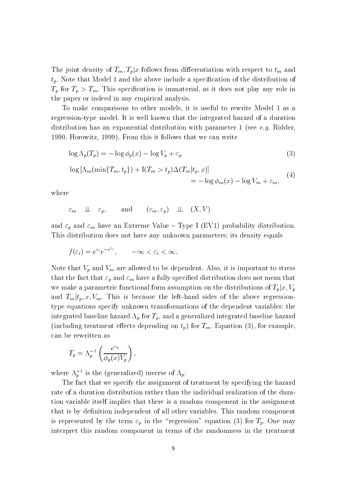The joint density of  $T_m, T_p|x$  follows from differentiation with respect to  $t_m$  and  $t_p$ . Note that Model 1 and the above include a specification of the distribution of  $T_p$  for  $T_p > T_m$ . This specification is immaterial, as it does not play any role in the paper or indeed in any empirical analysis.

To make comparisons to other models, it is useful to rewrite Model 1 as a regression-type model. It is well known that the integrated hazard of a duration distribution has an exponential distribution with parameter 1 (see e.g. Ridder, 1990, Horowitz, 1999). From this it follows that we can write

$$
\log \Lambda_p(T_p) = -\log \phi_p(x) - \log V_p + \varepsilon_p \tag{3}
$$

$$
\log\left[\Lambda_m(\min\{T_m, t_p\}) + \mathcal{I}(T_m > t_p)\Delta(T_m|t_p, x)\right] \\
= -\log\phi_m(x) - \log V_m + \varepsilon_m,\tag{4}
$$

where

$$
\varepsilon_m \perp \perp \varepsilon_p
$$
, and  $(\varepsilon_m, \varepsilon_p) \perp \perp (X, V)$ 

and  $\varepsilon_p$  and  $\varepsilon_m$  have an Extreme Value – Type I (EV1) probability distribution. This distribution does not have any unknown parameters; its density equals

$$
f(\varepsilon_i) = e^{\varepsilon_i} e^{-e^{\varepsilon_i}}, \qquad -\infty < \varepsilon_i < \infty
$$

Note that  $V_p$  and  $V_m$  are allowed to be dependent. Also, it is important to stress that the fact that  $\varepsilon_p$  and  $\varepsilon_m$  have a fully specified distribution does not mean that we make a parametric functional form assumption on the distributions of  $T_p|x, V_p$ and  $T_m|t_p, x, V_m$ . This is because the left-hand sides of the above regressiontype equations specify unknown transformations of the dependent variables: the integrated baseline hazard  $\Lambda_p$  for  $T_p$ , and a generalized integrated baseline hazard (including treatment effects depending on  $t_p$ ) for  $T_m$ . Equation (3), for example, can be rewritten as

$$
T_p = \Lambda_p^{-1} \left( \frac{e^{\varepsilon_p}}{\phi_p(x)V_p} \right),\,
$$

where  $\Lambda_n^{-1}$  is the (generalized) inverse of  $\Lambda_p$ .

The fact that we specify the assignment of treatment by specifying the hazard rate of a duration distribution rather than the individual realization of the duration variable itself implies that there is a random component in the assignment that is by definition independent of all other variables. This random component is represented by the term  $\varepsilon_p$  in the "regression" equation (3) for  $T_p$ . One may interpret this random component in terms of the randomness in the treatment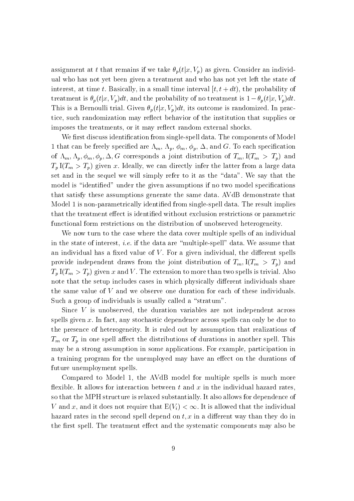assignment at t that remains if we take  $\theta_p(t|x, V_p)$  as given. Consider an individual who has not yet been given a treatment and who has not yet left the state of interest, at time t. Basically, in a small time interval  $[t, t+dt)$ , the probability of treatment is  $\theta_p(t|x, V_p)dt$ , and the probability of no treatment is  $1 - \theta_p(t|x, V_p)dt$ . This is a Bernoulli trial. Given  $\theta_p(t|x, V_p)dt$ , its outcome is randomized. In practice, such randomization may reflect behavior of the institution that supplies or imposes the treatments, or it may reflect random external shocks.

We first discuss identification from single-spell data. The components of Model 1 that can be freely specified are  $\Lambda_m$ ,  $\Lambda_p$ ,  $\phi_m$ ,  $\phi_p$ ,  $\Delta$ , and G. To each specification of  $\Lambda_m, \Lambda_p, \phi_m, \phi_p, \Delta, G$  corresponds a joint distribution of  $T_m, \mathbb{I}(T_m > T_p)$  and  $T_p I(T_m > T_p)$  given x. Ideally, we can directly infer the latter from a large data set and in the sequel we will simply refer to it as the "data". We say that the model is "identified" under the given assumptions if no two model specifications that satisfy these assumptions generate the same data. AVdB demonstrate that Model 1 is non-parametrically identified from single-spell data. The result implies that the treatment effect is identified without exclusion restrictions or parametric functional form restrictions on the distribution of unobserved heterogeneity.

We now turn to the case where the data cover multiple spells of an individual in the state of interest, *i.e.* if the data are "multiple-spell" data. We assume that an individual has a fixed value of  $V$ . For a given individual, the different spells provide independent draws from the joint distribution of  $T_m$ ,  $I(T_m > T_p)$  and  $T_p I(T_m > T_p)$  given x and V. The extension to more than two spells is trivial. Also note that the setup includes cases in which physically different individuals share the same value of V and we observe one duration for each of these individuals. Such a group of individuals is usually called a "stratum".

Since  $V$  is unobserved, the duration variables are not independent across spells given x. In fact, any stochastic dependence across spells can only be due to the presence of heterogeneity. It is ruled out by assumption that realizations of  $T_m$  or  $T_p$  in one spell affect the distributions of durations in another spell. This may be a strong assumption in some applications. For example, participation in a training program for the unemployed may have an effect on the durations of future unemployment spells.

Compared to Model 1, the AVdB model for multiple spells is much more flexible. It allows for interaction between  $t$  and  $x$  in the individual hazard rates, so that the MPH structure is relaxed substantially. It also allows for dependence of V and x, and it does not require that  $E(V_i) < \infty$ . It is allowed that the individual hazard rates in the second spell depend on  $t, x$  in a different way than they do in the first spell. The treatment effect and the systematic components may also be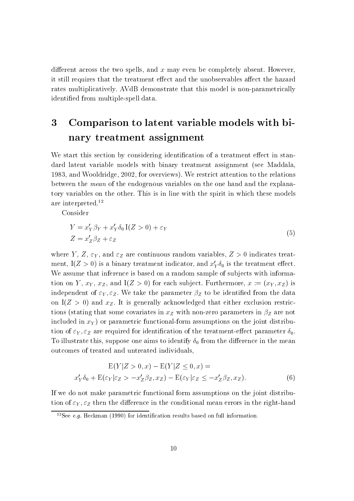different across the two spells, and  $x$  may even be completely absent. However, it still requires that the treatment effect and the unobservables affect the hazard rates multiplicatively. AVdB demonstrate that this model is non-parametrically identified from multiple-spell data.

### Comparison to latent variable models with bi-3 nary treatment assignment

We start this section by considering identification of a treatment effect in standard latent variable models with binary treatment assignment (see Maddala, 1983, and Wooldridge, 2002, for overviews). We restrict attention to the relations between the *mean* of the endogenous variables on the one hand and the explanatory variables on the other. This is in line with the spirit in which these models are interpreted.<sup>12</sup>

Consider

$$
Y = x'_{Y} \beta_{Y} + x'_{Y} \delta_{0} I(Z > 0) + \varepsilon_{Y}
$$
  
\n
$$
Z = x'_{Z} \beta_{Z} + \varepsilon_{Z}
$$
\n(5)

where Y, Z,  $\varepsilon_Y$ , and  $\varepsilon_Z$  are continuous random variables,  $Z > 0$  indicates treatment,  $I(Z > 0)$  is a binary treatment indicator, and  $x'_{Y} \delta_0$  is the treatment effect. We assume that inference is based on a random sample of subjects with information on Y,  $x_Y$ ,  $x_Z$ , and I(Z > 0) for each subject. Furthermore,  $x := (x_Y, x_Z)$  is independent of  $\varepsilon_Y, \varepsilon_Z$ . We take the parameter  $\beta_Z$  to be identified from the data on  $I(Z > 0)$  and  $x_Z$ . It is generally acknowledged that either exclusion restrictions (stating that some covariates in  $x<sub>Z</sub>$  with non-zero parameters in  $\beta<sub>Z</sub>$  are not included in  $x<sub>Y</sub>$  or parametric functional-form assumptions on the joint distribution of  $\varepsilon_Y, \varepsilon_Z$  are required for identification of the treatment-effect parameter  $\delta_0$ . To illustrate this, suppose one aims to identify  $\delta_0$  from the difference in the mean outcomes of treated and untreated individuals.

$$
E(Y|Z > 0, x) - E(Y|Z \le 0, x) =
$$
  

$$
x'_Y \delta_0 + E(\varepsilon_Y|\varepsilon_Z > -x'_Z \beta_Z, x_Z) - E(\varepsilon_Y|\varepsilon_Z \le -x'_Z \beta_Z, x_Z).
$$
 (6)

If we do not make parametric functional form assumptions on the joint distribution of  $\varepsilon_Y$ ,  $\varepsilon_Z$  then the difference in the conditional mean errors in the right-hand

<sup>&</sup>lt;sup>12</sup>See e.g. Heckman (1990) for identification results based on full information.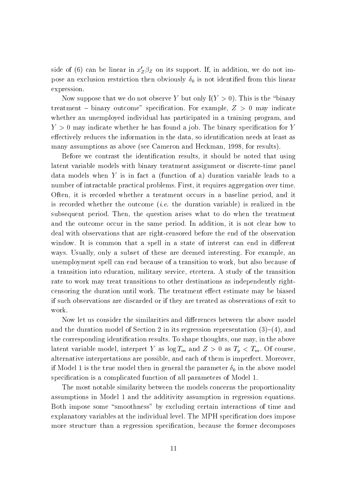side of (6) can be linear in  $x'_Z \beta_Z$  on its support. If, in addition, we do not impose an exclusion restriction then obviously  $\delta_0$  is not identified from this linear expression.

Now suppose that we do not observe Y but only  $I(Y > 0)$ . This is the "binary" treatment – binary outcome" specification. For example,  $Z > 0$  may indicate whether an unemployed individual has participated in a training program, and  $Y > 0$  may indicate whether he has found a job. The binary specification for Y effectively reduces the information in the data, so identification needs at least as many assumptions as above (see Cameron and Heckman, 1998, for results).

Before we contrast the identification results, it should be noted that using latent variable models with binary treatment assignment or discrete-time panel data models when  $Y$  is in fact a (function of a) duration variable leads to a number of intractable practical problems. First, it requires aggregation over time. Often, it is recorded whether a treatment occurs in a baseline period, and it is recorded whether the outcome *(i.e.* the duration variable) is realized in the subsequent period. Then, the question arises what to do when the treatment and the outcome occur in the same period. In addition, it is not clear how to deal with observations that are right-censored before the end of the observation window. It is common that a spell in a state of interest can end in different ways. Usually, only a subset of these are deemed interesting. For example, an unemployment spell can end because of a transition to work, but also because of a transition into education, military service, etcetera. A study of the transition rate to work may treat transitions to other destinations as independently rightcensoring the duration until work. The treatment effect estimate may be biased if such observations are discarded or if they are treated as observations of exit to work.

Now let us consider the similarities and differences between the above model and the duration model of Section 2 in its regression representation  $(3)-(4)$ , and the corresponding identification results. To shape thoughts, one may, in the above latent variable model, interpret Y as  $\log T_m$  and  $Z > 0$  as  $T_p < T_m$ . Of course, alternative interpretations are possible, and each of them is imperfect. Moreover, if Model 1 is the true model then in general the parameter  $\delta_0$  in the above model specification is a complicated function of all parameters of Model 1.

The most notable similarity between the models concerns the proportionality assumptions in Model 1 and the additivity assumption in regression equations. Both impose some "smoothness" by excluding certain interactions of time and explanatory variables at the individual level. The MPH specification does impose more structure than a regression specification, because the former decomposes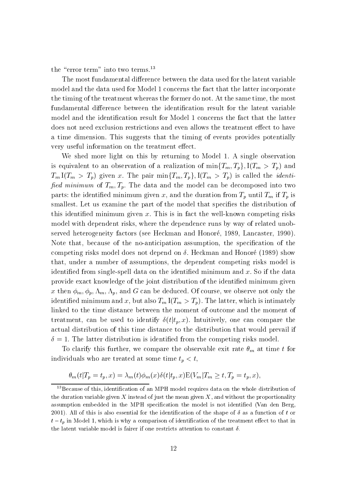the "error term" into two terms. $^{13}$ 

The most fundamental difference between the data used for the latent variable model and the data used for Model 1 concerns the fact that the latter incorporate the timing of the treatment whereas the former do not. At the same time, the most fundamental difference between the identification result for the latent variable model and the identification result for Model 1 concerns the fact that the latter does not need exclusion restrictions and even allows the treatment effect to have a time dimension. This suggests that the timing of events provides potentially very useful information on the treatment effect.

We shed more light on this by returning to Model 1. A single observation is equivalent to an observation of a realization of  $\min\{T_m, T_p\}, I(T_m > T_p)$  and  $T_m \mathbb{I}(T_m > T_p)$  given x. The pair  $\min\{T_m, T_p\}$ ,  $\mathbb{I}(T_m > T_p)$  is called the *identi*fied minimum of  $T_m, T_p$ . The data and the model can be decomposed into two parts: the identified minimum given x, and the duration from  $T_p$  until  $T_m$  if  $T_p$  is smallest. Let us examine the part of the model that specifies the distribution of this identified minimum given  $x$ . This is in fact the well-known competing risks model with dependent risks, where the dependence runs by way of related unobserved heterogeneity factors (see Heckman and Honoré, 1989, Lancaster, 1990). Note that, because of the no-anticipation assumption, the specification of the competing risks model does not depend on  $\delta$ . Heckman and Honoré (1989) show that, under a number of assumptions, the dependent competing risks model is identified from single-spell data on the identified minimum and  $x$ . So if the data provide exact knowledge of the joint distribution of the identified minimum given x then  $\phi_m, \phi_p, \Lambda_m, \Lambda_p$ , and G can be deduced. Of course, we observe not only the identified minimum and x, but also  $T_m I(T_m > T_p)$ . The latter, which is intimately linked to the time distance between the moment of outcome and the moment of treatment, can be used to identify  $\delta(t|t_p, x)$ . Intuitively, one can compare the actual distribution of this time distance to the distribution that would prevail if  $\delta = 1$ . The latter distribution is identified from the competing risks model.

To clarify this further, we compare the observable exit rate  $\theta_m$  at time t for individuals who are treated at some time  $t_p < t$ ,

$$
\theta_m(t|T_p = t_p, x) = \lambda_m(t)\phi_m(x)\delta(t|t_p, x)E(V_m|T_m \ge t, T_p = t_p, x)
$$

 $13$  Because of this, identification of an MPH model requires data on the whole distribution of the duration variable given  $X$  instead of just the mean given  $X$ , and without the proportionality assumption embedded in the MPH specification the model is not identified (Van den Berg, 2001). All of this is also essential for the identification of the shape of  $\delta$  as a function of t or  $t-t_n$  in Model 1, which is why a comparison of identification of the treatment effect to that in the latent variable model is fairer if one restricts attention to constant  $\delta$ .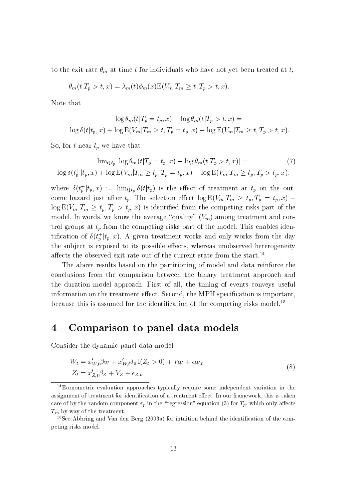to the exit rate  $\theta_m$  at time t for individuals who have not yet been treated at t,

$$
\theta_m(t|T_p > t, x) = \lambda_m(t)\phi_m(x)E(V_m|T_m \geq t, T_p > t, x)
$$

Note that

$$
\log \theta_m(t|T_p = t_p, x) - \log \theta_m(t|T_p > t, x) =
$$
  

$$
\log \delta(t|t_p, x) + \log \mathbb{E}(V_m|T_m \ge t, T_p = t_p, x) - \log \mathbb{E}(V_m|T_m \ge t, T_p > t, x).
$$

So, for t near  $t_p$  we have that

$$
\lim_{t \downarrow t_p} [\log \theta_m(t|T_p = t_p, x) - \log \theta_m(t|T_p > t, x)] =
$$
\n
$$
\log \delta(t_p^+|t_p, x) + \log E(V_m|T_m \ge t_p, T_p = t_p, x) - \log E(V_m|T_m \ge t_p, T_p > t_p, x),
$$
\n(7)

where  $\delta(t_n^+|t_p,x) := \lim_{t \downarrow t_p} \delta(t|t_p)$  is the effect of treatment at  $t_p$  on the outcome hazard just after  $t_p$ . The selection effect  $\log E(V_m | T_m \geq t_p, T_p = t_p, x)$  $\log E(V_m|T_m \geq t_p, T_p > t_p, x)$  is identified from the competing risks part of the model. In words, we know the average "quality"  $(V_m)$  among treatment and control groups at  $t_p$  from the competing risks part of the model. This enables identification of  $\delta(t_p^+|t_p,x)$ . A given treatment works and only works from the day the subject is exposed to its possible effects, whereas unobserved heterogeneity affects the observed exit rate out of the current state from the start.<sup>14</sup>

The above results based on the partitioning of model and data reinforce the conclusions from the comparison between the binary treatment approach and the duration model approach. First of all, the timing of events conveys useful information on the treatment effect. Second, the MPH specification is important, because this is assumed for the identification of the competing risks model.<sup>15</sup>

#### Comparison to panel data models  $\boldsymbol{4}$

Consider the dynamic panel data model

$$
W_t = x'_{W,t} \beta_W + x'_{W,t} \delta_0 I(Z_t > 0) + V_W + \epsilon_{W,t}
$$
  
\n
$$
Z_t = x'_{Z,t} \beta_Z + V_Z + \epsilon_{Z,t},
$$
\n(8)

 $14$ Econometric evaluation approaches typically require some independent variation in the assignment of treatment for identification of a treatment effect. In our framework, this is taken care of by the random component  $\varepsilon_p$  in the "regression" equation (3) for  $T_p$ , which only affects  $\mathcal{T}_m$  by way of the treatment.

 $15$ See Abbring and Van den Berg (2003a) for intuition behind the identification of the competing risks model.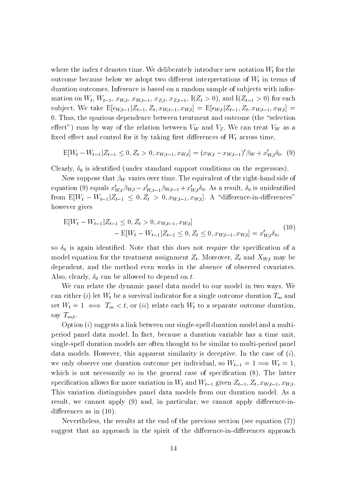where the index t denotes time. We deliberately introduce new notation  $W_t$  for the outcome because below we adopt two different interpretations of  $W_t$  in terms of duration outcomes. Inference is based on a random sample of subjects with information on  $W_t$ ,  $W_{t-1}$ ,  $x_{W,t}$ ,  $x_{W,t-1}$ ,  $x_{Z,t}$ ,  $x_{Z,t-1}$ ,  $I(Z_t > 0)$ , and  $I(Z_{t-1} > 0)$  for each subject. We take  $E[\epsilon_{W,t-1}|Z_{t-1}, Z_t, x_{W,t-1}, x_{W,t}] = E[\epsilon_{W,t}|Z_{t-1}, Z_t, x_{W,t-1}, x_{W,t}]$ 0. Thus, the spurious dependence between treatment and outcome (the "selection effect") runs by way of the relation between  $V_W$  and  $V_Z$ . We can treat  $V_W$  as a fixed effect and control for it by taking first differences of  $W_t$  across time,

 $E[W_t - W_{t-1} | Z_{t-1} \leq 0, Z_t > 0, x_{W,t-1}, x_{W,t}] = (x_{W,t} - x_{W,t-1})' \beta_W + x'_{W,t} \delta_0.$  (9)

Clearly,  $\delta_0$  is identified (under standard support conditions on the regressors).

Now suppose that  $\beta_W$  varies over time. The equivalent of the right-hand side of equation (9) equals  $x'_{W,t}\beta_{W,t} - x'_{W,t-1}\beta_{W,t-1} + x'_{W,t}\delta_0$ . As a result,  $\delta_0$  is unidentified from  $E[W_t - W_{t-1} | Z_{t-1} \leq 0, Z_t > 0, x_{W,t-1}, x_{W,t}].$  A "difference-in-differences" however gives

$$
E[W_t - W_{t-1} | Z_{t-1} \le 0, Z_t > 0, x_{W,t-1}, x_{W,t}]
$$
  
- 
$$
E[W_t - W_{t-1} | Z_{t-1} \le 0, Z_t \le 0, x_{W,t-1}, x_{W,t}] = x'_{W,t} \delta_0,
$$
 (10)

so  $\delta_0$  is again identified. Note that this does not require the specification of a model equation for the treatment assignment  $Z_t$ . Moreover,  $Z_t$  and  $X_{W,t}$  may be dependent, and the method even works in the absence of observed covariates. Also, clearly,  $\delta_0$  can be allowed to depend on t.

We can relate the dynamic panel data model to our model in two ways. We can either (i) let  $W_t$  be a survival indicator for a single outcome duration  $T_m$  and set  $W_t = 1 \iff T_m < t$ , or *(ii)* relate each  $W_t$  to a separate outcome duration, say  $T_{m,t}$ .

Option  $(i)$  suggests a link between our single-spell duration model and a multiperiod panel data model. In fact, because a duration variable has a time unit, single-spell duration models are often thought to be similar to multi-period panel data models. However, this apparent similarity is deceptive. In the case of  $(i)$ , we only observe one duration outcome per individual, so  $W_{t-1} = 1 \Longrightarrow W_t = 1$ , which is not necessarily so in the general case of specification (8). The latter specification allows for more variation in  $W_t$  and  $W_{t-1}$  given  $Z_{t-1}, Z_t, x_{W,t-1}, x_{W,t}$ . This variation distinguishes panel data models from our duration model. As a result, we cannot apply (9) and, in particular, we cannot apply difference-indifferences as in  $(10)$ .

Nevertheless, the results at the end of the previous section (see equation  $(7)$ ) suggest that an approach in the spirit of the difference-in-differences approach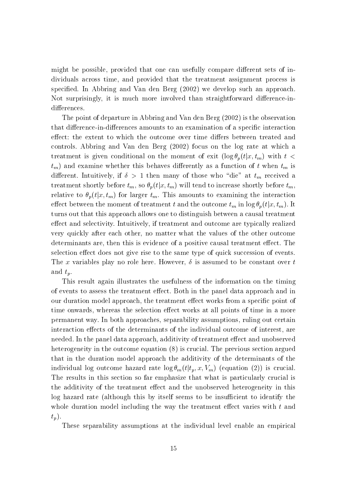might be possible, provided that one can usefully compare different sets of individuals across time, and provided that the treatment assignment process is specified. In Abbring and Van den Berg (2002) we develop such an approach. Not surprisingly, it is much more involved than straightforward difference-indifferences.

The point of departure in Abbring and Van den Berg (2002) is the observation that difference-in-differences amounts to an examination of a specific interaction effect: the extent to which the outcome over time differs between treated and controls. Abbring and Van den Berg (2002) focus on the log rate at which a treatment is given conditional on the moment of exit  $(\log \theta_n(t|x, t_m))$  with  $t <$  $t_m$ ) and examine whether this behaves differently as a function of t when  $t_m$  is different. Intuitively, if  $\delta > 1$  then many of those who "die" at  $t_m$  received a treatment shortly before  $t_m$ , so  $\theta_p(t|x, t_m)$  will tend to increase shortly before  $t_m$ , relative to  $\theta_p(t|x, t_m)$  for larger  $t_m$ . This amounts to examining the interaction effect between the moment of treatment t and the outcome  $t_m$  in  $\log \theta_p(t|x, t_m)$ . It turns out that this approach allows one to distinguish between a causal treatment effect and selectivity. Intuitively, if treatment and outcome are typically realized very quickly after each other, no matter what the values of the other outcome determinants are, then this is evidence of a positive causal treatment effect. The selection effect does not give rise to the same type of quick succession of events. The x variables play no role here. However,  $\delta$  is assumed to be constant over t and  $t_p$ .

This result again illustrates the usefulness of the information on the timing of events to assess the treatment effect. Both in the panel data approach and in our duration model approach, the treatment effect works from a specific point of time onwards, whereas the selection effect works at all points of time in a more permanent way. In both approaches, separability assumptions, ruling out certain interaction effects of the determinants of the individual outcome of interest, are needed. In the panel data approach, additivity of treatment effect and unobserved heterogeneity in the outcome equation  $(8)$  is crucial. The previous section argued that in the duration model approach the additivity of the determinants of the individual log outcome hazard rate  $\log \theta_m(t|t_p, x, V_m)$  (equation (2)) is crucial. The results in this section so far emphasize that what is particularly crucial is the additivity of the treatment effect and the unobserved heterogeneity in this log hazard rate (although this by itself seems to be insufficient to identify the whole duration model including the way the treatment effect varies with  $t$  and  $t_p$ ).

These separability assumptions at the individual level enable an empirical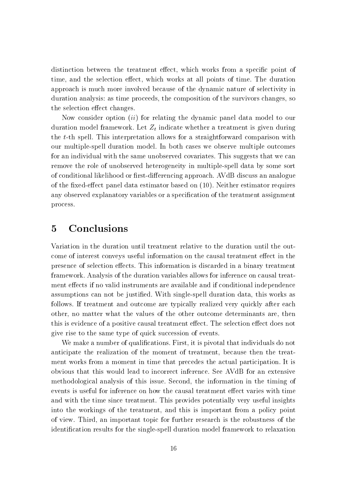distinction between the treatment effect, which works from a specific point of time, and the selection effect, which works at all points of time. The duration approach is much more involved because of the dynamic nature of selectivity in duration analysis: as time proceeds, the composition of the survivors changes, so the selection effect changes.

Now consider option *(ii)* for relating the dynamic panel data model to our duration model framework. Let  $Z_t$  indicate whether a treatment is given during the t-th spell. This interpretation allows for a straightforward comparison with our multiple-spell duration model. In both cases we observe multiple outcomes for an individual with the same unobserved covariates. This suggests that we can remove the role of unobserved heterogeneity in multiple-spell data by some sort of conditional likelihood or first-differencing approach. AVdB discuss an analogue of the fixed-effect panel data estimator based on  $(10)$ . Neither estimator requires any observed explanatory variables or a specification of the treatment assignment process.

#### Conclusions  $\mathbf 5$

Variation in the duration until treatment relative to the duration until the outcome of interest conveys useful information on the causal treatment effect in the presence of selection effects. This information is discarded in a binary treatment framework. Analysis of the duration variables allows for inference on causal treatment effects if no valid instruments are available and if conditional independence assumptions can not be justified. With single-spell duration data, this works as follows. If treatment and outcome are typically realized very quickly after each other, no matter what the values of the other outcome determinants are, then this is evidence of a positive causal treatment effect. The selection effect does not give rise to the same type of quick succession of events.

We make a number of qualifications. First, it is pivotal that individuals do not anticipate the realization of the moment of treatment, because then the treatment works from a moment in time that precedes the actual participation. It is obvious that this would lead to incorrect inference. See AVdB for an extensive methodological analysis of this issue. Second, the information in the timing of events is useful for inference on how the causal treatment effect varies with time and with the time since treatment. This provides potentially very useful insights into the workings of the treatment, and this is important from a policy point of view. Third, an important topic for further research is the robustness of the identification results for the single-spell duration model framework to relaxation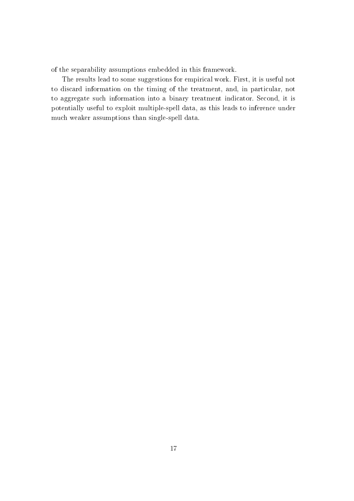of the separability assumptions embedded in this framework.

The results lead to some suggestions for empirical work. First, it is useful not to discard information on the timing of the treatment, and, in particular, not to aggregate such information into a binary treatment indicator. Second, it is potentially useful to exploit multiple-spell data, as this leads to inference under much weaker assumptions than single-spell data.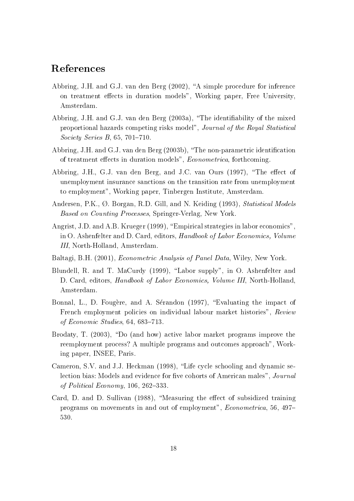## References

- Abbring, J.H. and G.J. van den Berg (2002), "A simple procedure for inference on treatment effects in duration models", Working paper, Free University, Amsterdam.
- Abbring, J.H. and G.J. van den Berg (2003a), "The identifiability of the mixed proportional hazards competing risks model", Journal of the Royal Statistical Society Series B,  $65, 701-710$ .
- Abbring, J.H. and G.J. van den Berg (2003b), "The non-parametric identification of treatment effects in duration models", *Econometrica*, forthcoming,
- Abbring, J.H., G.J. van den Berg, and J.C. van Ours (1997), "The effect of unemployment insurance sanctions on the transition rate from unemployment to employment", Working paper, Tinbergen Institute, Amsterdam.
- Andersen, P.K., Ø. Borgan, R.D. Gill, and N. Keiding (1993), Statistical Models Based on Counting Processes, Springer-Verlag, New York.
- Angrist, J.D. and A.B. Krueger (1999), "Empirical strategies in labor economics", in O. Ashenfelter and D. Card, editors, *Handbook of Labor Economics*, *Volume* III, North-Holland, Amsterdam.
- Baltagi, B.H. (2001), *Econometric Analysis of Panel Data*, Wiley, New York.
- Blundell, R. and T. MaCurdy (1999), "Labor supply", in O. Ashenfelter and D. Card, editors, *Handbook of Labor Economics, Volume III*, North-Holland, Amsterdam.
- Bonnal, L., D. Fougère, and A. Sérandon (1997), "Evaluating the impact of French employment policies on individual labour market histories", Review of Economic Studies, 64, 683-713.
- Brodaty, T. (2003), "Do (and how) active labor market programs improve the reemployment process? A multiple programs and outcomes approach", Working paper, INSEE, Paris.
- Cameron, S.V. and J.J. Heckman (1998), "Life cycle schooling and dynamic selection bias: Models and evidence for five cohorts of American males", *Journal* of Political Economy, 106, 262-333.
- Card, D. and D. Sullivan (1988), "Measuring the effect of subsidized training programs on movements in and out of employment", *Econometrica*, 56, 497– 530.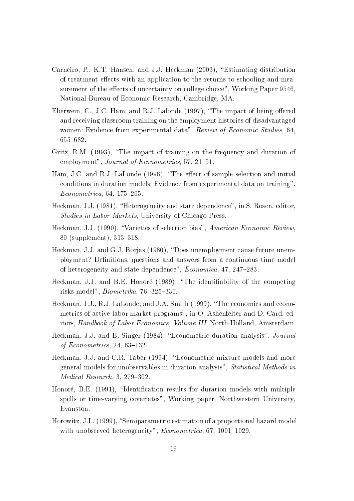- Carneiro, P., K.T. Hansen, and J.J. Heckman (2003). "Estimating distribution of treatment effects with an application to the returns to schooling and measurement of the effects of uncertainty on college choice", Working Paper 9546, National Bureau of Economic Research, Cambridge, MA.
- Eberwein, C., J.C. Ham, and R.J. Lalonde (1997), "The impact of being offered and receiving classroom training on the employment histories of disadvantaged women: Evidence from experimental data", Review of Economic Studies, 64, 655-682.
- Gritz, R.M. (1993), "The impact of training on the frequency and duration of employment", Journal of Econometrics, 57, 21–51.
- Ham, J.C. and R.J. LaLonde (1996), "The effect of sample selection and initial conditions in duration models: Evidence from experimental data on training".  $Econometrica, 64, 175-205.$
- Heckman, J.J. (1981), "Heterogeneity and state dependence", in S. Rosen, editor, *Studies in Labor Markets*, University of Chicago Press.
- Heckman, J.J. (1990), "Varieties of selection bias", American Economic Review, 80 (supplement), 313-318.
- Heckman, J.J. and G.J. Borjas (1980), "Does unemployment cause future unemployment? Definitions, questions and answers from a continuous time model of heterogeneity and state dependence", Economica, 47, 247-283.
- Heckman, J.J. and B.E. Honoré (1989), "The identifiability of the competing risks model", *Biometrika*, 76, 325-330.
- Heckman, J.J., R.J. LaLonde, and J.A. Smith (1999), "The economics and econometrics of active labor market programs", in O. Ashenfelter and D. Card, editors, *Handbook of Labor Economics*, *Volume III*, North-Holland, Amsterdam.
- Heckman, J.J. and B. Singer (1984), "Econometric duration analysis", Journal of Econometrics, 24, 63-132.
- Heckman, J.J. and C.R. Taber (1994), "Econometric mixture models and more general models for unobservables in duration analysis", Statistical Methods in Medical Research, 3, 279-302.
- Honoré, B.E. (1991), "Identification results for duration models with multiple spells or time-varying covariates", Working paper, Northwestern University, Evanston.
- Horowitz, J.L. (1999), "Semiparametric estimation of a proportional hazard model with unobserved heterogeneity", *Econometrica*, 67, 1001-1029.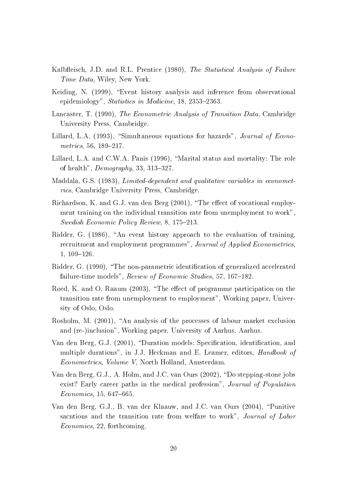- Kalbfleisch, J.D. and R.L. Prentice (1980), The Statistical Analysis of Failure *Time Data*, Wiley, New York.
- Keiding, N. (1999), "Event history analysis and inference from observational epidemiology", Statistics in Medicine, 18, 2353-2363.
- Lancaster, T. (1990), The Econometric Analysis of Transition Data, Cambridge University Press, Cambridge.
- Lillard, L.A. (1993), "Simultaneous equations for hazards", *Journal of Econo* $metrics, 56, 189-217.$
- Lillard, L.A. and C.W.A. Panis (1996), "Marital status and mortality: The role of health",  $Demography$ , 33, 313-327.
- Maddala, G.S. (1983), Limited-dependent and qualitative variables in econometrics, Cambridge University Press, Cambridge.
- Richardson, K. and G.J. van den Berg (2001), "The effect of vocational employment training on the individual transition rate from unemployment to work". Swedish Economic Policy Review, 8, 175-213.
- Ridder, G. (1986), "An event history approach to the evaluation of training. recruitment and employment programmes", Journal of Applied Econometrics,  $1, 109-126.$
- Ridder, G. (1990), "The non-parametric identification of generalized accelerated failure-time models", Review of Economic Studies, 57, 167-182.
- Røed, K. and O. Raaum (2003), "The effect of programme participation on the transition rate from unemployment to employment", Working paper, University of Oslo, Oslo.
- Rosholm, M. (2001), "An analysis of the processes of labour market exclusion and (re-)inclusion", Working paper, University of Aarhus, Aarhus.
- Van den Berg, G.J. (2001), "Duration models: Specification, identification, and multiple durations", in J.J. Heckman and E. Leamer, editors, *Handbook of Econometrics, Volume V, North Holland, Amsterdam.*
- Van den Berg, G.J., A. Holm, and J.C. van Ours (2002), "Do stepping-stone jobs exist? Early career paths in the medical profession", Journal of Population *Economics*, 15, 647–665.
- Van den Berg, G.J., B. van der Klaauw, and J.C. van Ours (2004), "Punitive sacritions and the transition rate from welfare to work", Journal of Labor *Economics*, 22, forthcoming.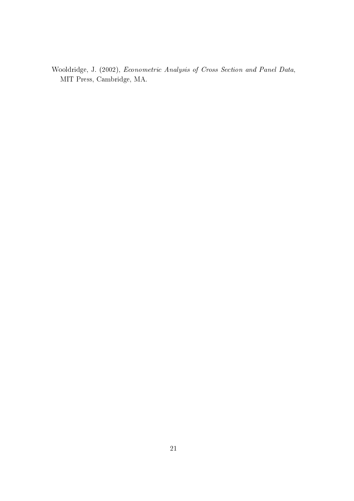Wooldridge, J. (2002), Econometric Analysis of Cross Section and Panel Data, MIT Press, Cambridge, MA.